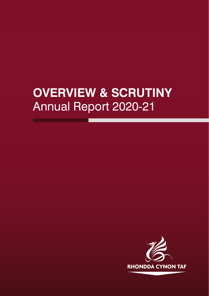# **OVERVIEW & SCRUTINY** Annual Report 2020-21

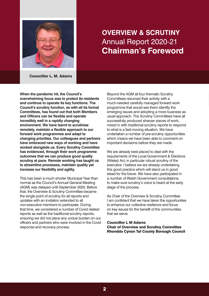

### **OVERVIEW & SCRUTINY** Annual Report 2020-21 **Chairman's Foreword**

**Councillor L. M. Adams**

**When the pandemic hit, the Council's overwhelming focus was to protect its residents and continue to operate its key functions. The Council's scrutiny function, as with all its formal Committees, has found out that both Members and Officers can be flexible and operate incredibly well in a rapidly changing environment. We have learnt to scrutinise remotely, maintain a flexible approach to our forward work programmes and adapt to changing priorities. Our colleagues and partners have embraced new ways of working and have worked alongside us. Every Scrutiny Committee has evidenced, through their work programme outcomes that we can produce good quality scrutiny at pace. Remote working has taught us to streamline processes, maintain quality yet increase our flexibility and agility.**

This has been a much shorter Municipal Year than normal as the Council's Annual General Meeting (AGM) was delayed until September 2020. Before that, the Overview & Scrutiny Committee became the single point of scrutiny for all reports and updates with an invitation extended to all non-executive members to participate. During that time, we considered a number of Covid related reports as well as the traditional scrutiny reports, ensuring we did not place any undue burden on our officers and partners who were involved in the Covid response and recovery process.

Beyond the AGM all four thematic Scrutiny Committees resumed their activity with a much-needed carefully managed forward work programme that would see them identify the emerging issues and adopting a more business as usual approach. The Scrutiny Committees have all successfully produced sharper pieces of work, mixed in with traditional scrutiny reports to respond to what is a fast-moving situation. We have undertaken a number of pre-scrutiny opportunities which means we have been able to comment on important decisions before they are made.

We are already best placed to deal with the requirements of the Local Government & Elections (Wales) Act, in particular robust scrutiny of the executive. I believe we are already undertaking this good practice which will stand us in good stead for the future. We have also participated in a number of Welsh Government consultations, to make sure scrutiny's voice is heard at the early stage of the process.

As Chair of the Overview & Scrutiny Committee I am confident that we have taken the opportunities to enhance our collective resilience and focus on key issues for the benefit of the communities that we serve.

#### **Councillor L M Adams Chair of Overview and Scrutiny Committee Rhondda Cynon Taf County Borough Council**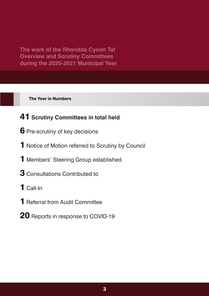**The Year in Numbers**

### **Scrutiny Committees in total held**

- Pre-scrutiny of key decisions
- Notice of Motion referred to Scrutiny by Council
- Members' Steering Group established
- Consultations Contributed to
- Call-In
- Referral from Audit Committee
- Reports in response to COVID-19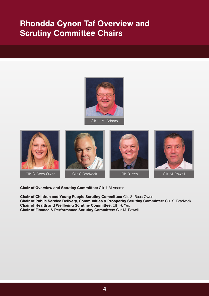# **Rhondda Cynon Taf Overview and Scrutiny Committee Chairs**











**Chair of Overview and Scrutiny Committee:** Cllr. L M Adams

**Chair of Children and Young People Scrutiny Committee:** Cllr. S. Rees-Owen **Chair of Public Service Delivery, Communities & Prosperity Scrutiny Committee:** Cllr. S. Bradwick **Chair of Health and Wellbeing Scrutiny Committee:** Cllr. R. Yeo **Chair of Finance & Performance Scrutiny Committee:** Cllr. M. Powell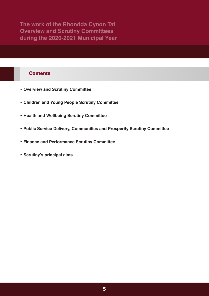### **Contents**

- **• Overview and Scrutiny Committee**
- **• Children and Young People Scrutiny Committee**
- **• Health and Wellbeing Scrutiny Committee**
- **• Public Service Delivery, Communities and Prosperity Scrutiny Committee**
- **• Finance and Performance Scrutiny Committee**
- **• Scrutiny's principal aims**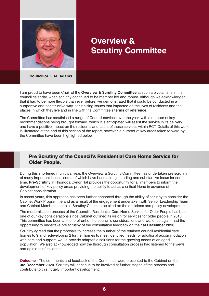

## **Overview & Scrutiny Committee**

**Councillor L. M. Adams**

I am proud to have been Chair of the **Overview & Scrutiny [Committee](https://www.rctcbc.gov.uk/EN/Council/Scrutiny/ScrutinyCommittees/OverviewandScrutinyCommittee.aspx)** at such a pivotal time in the council calendar, when scrutiny continued to be member led and robust. Although we acknowledged that it had to be more flexible than ever before, we demonstrated that it could be conducted in a supportive and constructive way, scrutinising issues that impacted on the lives of residents and the places in which they live and in line with the Committee's **terms of [reference](https://www.rctcbc.gov.uk/EN/Council/Scrutiny/RelatedDocuments/TermsofReference/OVERVIEW.pdf)**.

The Committee has scrutinised a range of Council services over the year, with a number of key recommendations being brought forward, which it is anticipated will assist the service in its delivery and have a positive impact on the residents and users of those services within RCT. Details of this work is illustrated at the end of this section of the report, however, a number of key areas taken forward by the Committee have been highlighted below.

### **Pre Scrutiny of the Council's Residential Care Home Service for Older People.**

During this shortened municipal year, the Overview & Scrutiny Committee has undertaken pre scrutiny of many important issues, some of which have been a long standing and substantive focus for some time. **Pre-Scrutiny** in Rhondda Cynon Taf provides the opportunity for all members to inform the development of key policy areas providing the ability to act as a critical friend in advance of Cabinet consideration.

In recent years, this approach has been further enhanced through the ability of scrutiny to consider the Cabinet Work Programme and as a result of the engagement undertaken with Senior Leadership Team and Cabinet Members, enables Scrutiny Chairs to be cited on the decisions and policy developments.

The modernisation process of the Council's Residential Care Home Service for Older People has been one of our key considerations since Cabinet outlined its vision for services for older people in 2018. This committee has been at the forefront of the council's considerations and we, once again, had the opportunity to undertake pre scrutiny of the consultation feedback on the **1st [December](https://www.rctcbc.gov.uk/EN/Council/CouncillorsCommitteesandMeetings/Meetings/OverviewandScrutinyCommittee/2020/12/01/OverviewandScrutinyCommittee01Dec2020.aspx) 2020**.

Scrutiny agreed that the proposals to increase the number of the retained council residential care homes to 9 and redeveloping 2 further homes to meet identified needs for additional accommodation with care and support, would provide adaptable solutions for the growing needs of an aged population. We also acknowledged how the thorough consultation process had listened to the views and opinions of residents.

**Outcome -** The comments and feedback of the Committee were presented to the Cabinet on the **3rd [December](https://www.rctcbc.gov.uk/EN/Council/CouncillorsCommitteesandMeetings/Meetings/Cabinet/2020/12/03/DecisionNotices/Item2ModernisationoftheCouncilsResidentialCareHomeServiceforOlderPeopleCopy.pdf) 2020**. Scrutiny will continue to be involved at further stages of the process and contribute to this hugely important development.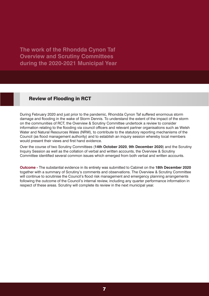### **Review of Flooding in RCT**

During February 2020 and just prior to the pandemic, Rhondda Cynon Taf suffered enormous storm damage and flooding in the wake of Storm Dennis. To understand the extent of the impact of the storm on the communities of RCT, the Overview & Scrutiny Committee undertook a review to consider information relating to the flooding via council officers and relevant partner organisations such as Welsh Water and Natural Resources Wales (NRW), to contribute to the statutory reporting mechanisms of the Council (as flood management authority) and to establish an inquiry session whereby local members would present their views and first hand evidence.

Over the course of two Scrutiny Committees (**14th [October](https://www.rctcbc.gov.uk/EN/Council/CouncillorsCommitteesandMeetings/Meetings/OverviewandScrutinyCommittee/2020/10/14/OverviewandScrutinyCommittee14Oct2020.aspx) 2020**, **9th [December](https://www.rctcbc.gov.uk/EN/Council/CouncillorsCommitteesandMeetings/Meetings/OverviewandScrutinyCommittee/2020/12/09/OverviewandScrutinyCommittee09Dec2020.aspx) 2020**) and the Scrutiny Inquiry Session as well as the collation of verbal and written accounts, the Overview & Scrutiny Committee identified several common issues which emerged from both verbal and written accounts.

**Outcome -** The substantial evidence in its entirety was submitted to Cabinet on the **18th [December](https://www.rctcbc.gov.uk/EN/Council/CouncillorsCommitteesandMeetings/Meetings/Cabinet/2020/12/18/Cabinet18Dec2020.aspx) 2020** together with a summary of Scrutiny's comments and observations. The Overview & Scrutiny Committee will continue to scrutinise the Council's flood risk management and emergency planning arrangements following the outcome of the Council's internal review, including any quarter performance information in respect of these areas. Scrutiny will complete its review in the next municipal year.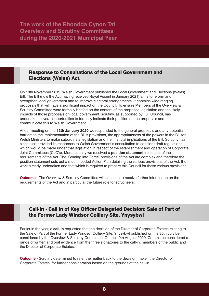### **Response to Consultations of the Local Government and Elections (Wales) Act.**

On 18th November 2019, Welsh Government published the Local Government and Elections (Wales) Bill. The Bill (now the Act, having received Royal Ascent in January 2021) aims to reform and strengthen local government and to improve electoral arrangements. It contains wide ranging proposals that will have a significant impact on the Council. To ensure Members of the Overview & Scrutiny Committee were formally briefed on the content of the proposed legislation and the likely impacts of those proposals on local government, scrutiny, as supported by Full Council, has undertaken several opportunities to formally indicate their position on the proposals and communicate this to Welsh Government.

At our meeting on the **13th [January](https://www.rctcbc.gov.uk/EN/Council/CouncillorsCommitteesandMeetings/Meetings/OverviewandScrutinyCommittee/2020/01/13/OverviewandScrutinyCommittee13Jan2020.aspx) 2020** we responded to the general proposals and any potential barriers to the implementation of the Bill's provisions, the appropriateness of the powers in the Bill for Welsh Ministers to make subordinate legislation and the financial implications of the Bill. Scrutiny has since also provided its responses to Welsh Government's consultation to consider draft regulations which would be made under that legislation in respect of the establishment and operation of Corporate Joint Committees (CJC's). More recently we received a **position [statement](https://www.rctcbc.gov.uk/EN/Council/CouncillorsCommitteesandMeetings/Meetings/OverviewandScrutinyCommittee/2020/12/09/OverviewandScrutinyCommittee09Dec2020.aspx)** in respect of the requirements of the Act. The 'Coming into Force' provisions of the Act are complex and therefore the position statement sets out a much needed Action Plan detailing the various provisions of the Act, the work already undertaken and that which is required to prepare this Council for these various provisions.

**Outcome -** The Overview & Scrutiny Committee will continue to receive further information on the requirements of the Act and in particular the future role for scrutineers.

### **Call-In - Call in of Key Officer Delegated Decision: Sale of Part of the Former Lady Windsor Colliery Site, Ynysybwl**

Earlier in the year, a **[call-in](https://www.rctcbc.gov.uk/EN/Council/CouncillorsCommitteesandMeetings/Meetings/OverviewandScrutinyCommittee/2020/08/12/OverviewandScrutinyCommittee12Aug2020.aspx)** requested that the decision of the Director of Corporate Estates relating to the Sale of Part of the Former Lady Windsor Colliery Site, Ynysybwl published on the 30th July be considered by the Overview & Scrutiny Committee. On the 12th August 2020, Committee considered a range of written and oral evidence from the three signatories to the call-in, members of the public and the Director of Corporate Estates.

**Outcome -** Scrutiny determined to refer the matter back to the decision maker, the Director of Corporate Estates, for further consideration based on the grounds of the call-in.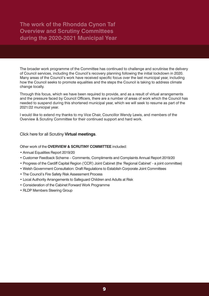The broader work programme of the Committee has continued to challenge and scrutinise the delivery of Council services, including the Council's recovery planning following the initial lockdown in 2020. Many areas of the Council's work have received specific focus over the last municipal year, including how the Council seeks to promote equalities and the steps the Council is taking to address climate change locally.

Through this focus, which we have been required to provide, and as a result of virtual arrangements and the pressure faced by Council Officers, there are a number of areas of work which the Council has needed to suspend during this shortened municipal year, which we will seek to resume as part of the 2021/22 municipal year.

I would like to extend my thanks to my Vice Chair, Councillor Wendy Lewis, and members of the Overview & Scrutiny Committee for their continued support and hard work.

Click here for all Scrutiny **Virtual [meetings](https://www.rctcbc.gov.uk/EN/Council/CouncillorsCommitteesandMeetings/Committees/Virtualmeetingsduringsocialdistancing.aspx)**.

Other work of the **OVERVIEW & SCRUTINY [COMMITTEE](https://www.rctcbc.gov.uk/EN/Council/CouncillorsCommitteesandMeetings/Committees/OverviewandScrutinyCommittee.aspx)** included:

- Annual Equalities Report 2019/20
- Customer Feedback Scheme Comments, Compliments and Complaints Annual Report 2019/20
- Progress of the Cardiff Capital Region ('CCR') Joint Cabinet (the 'Regional Cabinet' a joint committee)
- Welsh Government Consultation: Draft Regulations to Establish Corporate Joint Committees
- The Council's Fire Safety Risk Assessment Process
- Local Authority Arrangements to Safeguard Children and Adults at Risk
- Consideration of the Cabinet Forward Work Programme
- RLDP Members Steering Group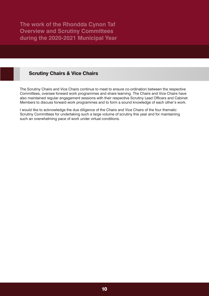### **Scrutiny Chairs & Vice Chairs**

The Scrutiny Chairs and Vice Chairs continue to meet to ensure co-ordination between the respective Committees, oversee forward work programmes and share learning. The Chairs and Vice Chairs have also maintained regular engagement sessions with their respective Scrutiny Lead Officers and Cabinet Members to discuss forward work programmes and to form a sound knowledge of each other's work.

I would like to acknowledge the due diligence of the Chairs and Vice Chairs of the four thematic Scrutiny Committees for undertaking such a large volume of scrutiny this year and for maintaining such an overwhelming pace of work under virtual conditions.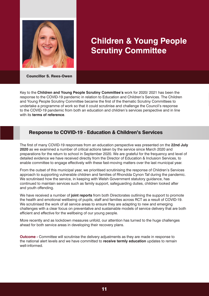

## **Children & Young People Scrutiny Committee**

**Councillor S. Rees-Owen**

Key to the **Children and Young People Scrutiny [Committee's](https://www.rctcbc.gov.uk/EN/Council/Scrutiny/ScrutinyCommittees/ChildrenandYoungPeopleScrutinyCommittee.aspx)** work for 2020/ 2021 has been the response to the COVID-19 pandemic in relation to Education and Children's Services. The Children and Young People Scrutiny Committee became the first of the thematic Scrutiny Committees to undertake a programme of work so that it could scrutinise and challenge the Council's response to the COVID-19 pandemic from both an education and children's services perspective and in line with its **terms of [reference](https://www.rctcbc.gov.uk/EN/Council/Scrutiny/RelatedDocuments/TermsofReference/CHYP.pdf)**.

### **Response to COVID-19 - Education & Children's Services**

The first of many COVID-19 responses from an education perspective was presented on the **[22nd](https://www.rctcbc.gov.uk/EN/Council/CouncillorsCommitteesandMeetings/Meetings/ChildrenandYoungPeopleScrutinyCommittee/2020/09/09/ChildrenandYoungPeopleScrutinyCommittee09Sep2020.aspx) July [2020](https://www.rctcbc.gov.uk/EN/Council/CouncillorsCommitteesandMeetings/Meetings/ChildrenandYoungPeopleScrutinyCommittee/2020/09/09/ChildrenandYoungPeopleScrutinyCommittee09Sep2020.aspx)** as we examined a number of critical actions taken by the service since March 2020 and preparations for the return to school in September 2020. We are grateful for the frequency and level of detailed evidence we have received directly from the Director of Education & Inclusion Services, to enable committee to engage effectively with these fast-moving matters over the last municipal year.

From the outset of this municipal year, we prioritised scrutinising the response of Children's Services approach to supporting vulnerable children and families of Rhondda Cynon Taf during the pandemic. We scrutinised how the service, in keeping with Welsh Government statutory guidance, has continued to maintain services such as family support, safeguarding duties, children looked after and youth offending.

We have received a number of **joint [reports](https://www.rctcbc.gov.uk/EN/Council/CouncillorsCommitteesandMeetings/Meetings/ChildrenandYoungPeopleScrutinyCommittee/2020/12/02/ChildrenandYoungPeopleScrutinyCommittee02Dec2020.aspx)** from both Directorates outlining the support to promote the health and emotional wellbeing of pupils, staff and families across RCT as a result of COVID-19. We scrutinised the work of all service areas to ensure they are adapting to new and emerging challenges with a clear focus on preventative and sustainable models of service delivery that are both efficient and effective for the wellbeing of our young people.

More recently and as lockdown measures unfold, our attention has turned to the huge challenges ahead for both service areas in developing their recovery plans.

**Outcome -** Committee will scrutinise the delivery adjustments as they are made in response to the national alert levels and we have committed to **receive termly education** updates to remain well-informed.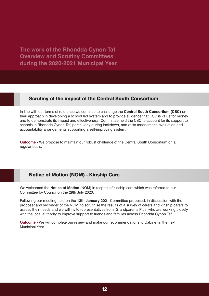### **Scrutiny of the impact of the Central South Consortium**

In line with our terms of reference we continue to challenge the **Central South [Consortium](https://www.rctcbc.gov.uk/EN/Council/CouncillorsCommitteesandMeetings/Meetings/ChildrenandYoungPeopleScrutinyCommittee/2021/02/24/Reports/AgendaItem4REPORTOFTHEWORKOFTHECENTRALSOUTHCONSORTIUMINTHEREGIONANDRHONDDACYNONTAFLOCALAUTHORITY.pdf) (CSC)** on their approach in developing a school led system and to provide evidence that CSC is value for money and to demonstrate its impact and effectiveness. Committee held the CSC to account for its support to schools in Rhondda Cynon Taf, particularly during lockdown, and of its assessment, evaluation and accountability arrangements supporting a self-improving system.

**Outcome -** We propose to maintain our robust challenge of the Central South Consortium on a regular basis.

### **Notice of Motion (NOM) - Kinship Care**

We welcomed the **Notice of [Motion](https://www.rctcbc.gov.uk/EN/Council/CouncillorsCommitteesandMeetings/Meetings/Council/2020/07/24/Council24Jul2020.aspx)** (NOM) in respect of kinship care which was referred to our Committee by Council on the 29th July 2020.

Following our meeting held on the **13th [January](https://www.rctcbc.gov.uk/EN/Council/CouncillorsCommitteesandMeetings/Meetings/ChildrenandYoungPeopleScrutinyCommittee/2021/01/13/Reports/AgendaItem5KinshipReport.pdf) 2021** Committee proposed, in discussion with the proposer and seconder of the NOM, to scrutinise the results of a survey of carers and kinship carers to assess their needs and we will invite representatives from 'Grandparents Plus' who are working closely with the local authority to improve support to friends and families across Rhondda Cynon Taf.

**Outcome -** We will complete our review and make our recommendations to Cabinet in the next Municipal Year.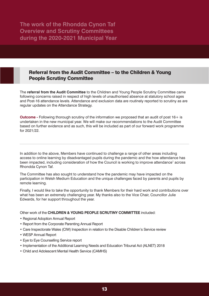### **Referral from the Audit Committee – to the Children & Young People Scrutiny Committee**

The **referral from the Audit [Committee](https://www.rctcbc.gov.uk/EN/Council/CouncillorsCommitteesandMeetings/Meetings/ChildrenandYoungPeopleScrutinyCommittee/2021/03/24/Reports/AgendaItem7SchoolAttendanceUnauthorisedAbsenceReport.pdf)** to the Children and Young People Scrutiny Committee came following concerns raised in respect of high levels of unauthorised absence at statutory school ages and Post-16 attendance levels. Attendance and exclusion data are routinely reported to scrutiny as are regular updates on the Attendance Strategy.

**Outcome -** Following thorough scrutiny of the information we proposed that an audit of post 16+ is undertaken in the new municipal year. We will make our recommendations to the Audit Committee based on further evidence and as such, this will be included as part of our forward work programme for 2021/22.

In addition to the above, Members have continued to challenge a range of other areas including access to online learning by disadvantaged pupils during the pandemic and the how attendance has been impacted, including consideration of how the Council is working to improve attendance<sup>1</sup> across Rhondda Cynon Taf.

The Committee has also sought to understand how the pandemic may have impacted on the participation in Welsh Medium Education and the unique challenges faced by parents and pupils by remote learning.

Finally, I would like to take the opportunity to thank Members for their hard work and contributions over what has been an extremely challenging year. My thanks also to the Vice Chair, Councillor Julie Edwards, for her support throughout the year.

Other work of the **CHILDREN & YOUNG PEOPLE SCRUTINY [COMMITTEE](https://www.rctcbc.gov.uk/EN/Council/CouncillorsCommitteesandMeetings/Committees/ChildrenandYoungPeopleScrutinyCommittee.aspx)** included:

- Regional Adoption Annual Report
- Report from the Corporate Parenting Annual Report
- Care Inspectorate Wales (CIW) Inspection in relation to the Disable Children's Service review
- WESP Annual Report
- Eye to Eye Counselling Service report
- Implementation of the Additional Learning Needs and Education Tribunal Act (ALNET) 2018
- Child and Adolescent Mental Health Service (CAMHS)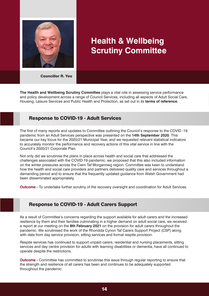

# **Health & Wellbeing Scrutiny Committee**

**Councillor R. Yeo**

**The Health and Wellbeing Scrutiny [Committee](https://www.rctcbc.gov.uk/EN/Council/Scrutiny/ScrutinyCommittees/TheHealthandWellbeingScrutinyCommittee.aspx)** plays a vital role in assessing service performance and policy development across a range of Council Services, including all aspects of Adult Social Care, Housing, Leisure Services and Public Health and Protection, as set out in its **terms of [reference](https://www.rctcbc.gov.uk/EN/Council/Scrutiny/RelatedDocuments/TermsofReference/HWB.pdf)**.

### **Response to COVID-19 - Adult Services**

The first of many reports and updates to Committee outlining the Council's response to the COVID -19 pandemic from an Adult Services perspective was presented on the **14th [September](https://www.rctcbc.gov.uk/EN/Council/CouncillorsCommitteesandMeetings/Meetings/HealthandWellbeingScrutinyCommittee/2020/09/14/HealthandWellbeingScrutinyCommittee14Sep2020.aspx) 2020**. This became our key focus for the 2020/21 Municipal Year, and we requested relevant statistical indicators to accurately monitor the performance and recovery actions of this vital service in line with the Council's 2020/21 Corporate Plan.

Not only did we scrutinise the plans in place across health and social care that addressed the challenges associated with the COVID-19 pandemic, we proposed that this also included information on the winter pressures across the Cwm Taf Morgannwg region. Committee was keen to understand how the health and social care providers and partners delivered quality care and services throughout a demanding period and to ensure that the frequently updated guidance from Welsh Government had been disseminated appropriately.

**Outcome -** To undertake further scrutiny of the recovery oversight and coordination for Adult Services.

### **Response to COVID-19 - Adult Carers Support**

As a result of Committee's concerns regarding the support available for adult carers and the increased resilience by them and their families culminating in a higher demand on adult social care, we received a report at our meeting on the **8th [February](https://www.rctcbc.gov.uk/EN/Council/CouncillorsCommitteesandMeetings/Meetings/HealthandWellbeingScrutinyCommittee/2021/02/08/HealthandWellbeingScrutinyCommittee08Feb2021.aspx) 2021** on the provision for adult carers throughout the pandemic. We scrutinised the work of the Rhondda Cynon Taf Carers Support Project (CSP) along with data from day service provision, sitting services and formal respite provision.

Respite services has continued to support unpaid carers, residential and nursing placements, sitting services and day centre provision for adults with learning disabilities or dementia, have all continued to operate despite the restrictions.

**Outcome -** Committee has committed to scrutinise this issue through regular reporting to ensure that the strength and resilience of all carers has been and continues to be adequately supported throughout the pandemic.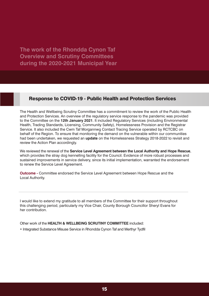### **Response to COVID-19 - Public Health and Protection Services**

The Health and Wellbeing Scrutiny Committee has a commitment to review the work of the Public Health and Protection Services. An overview of the regulatory service response to the pandemic was provided to the Committee on the **12th [January](https://www.rctcbc.gov.uk/EN/Council/CouncillorsCommitteesandMeetings/Meetings/HealthandWellbeingScrutinyCommittee/2021/01/12/HealthandWellbeingScrutinyCommittee12Jan2021.aspx) 2021**. It included Regulatory Services (including Environmental Health, Trading Standards, Licensing, Community Safety), Homelessness Provision and the Registrar Service. It also included the Cwm Taf Morgannwg Contact Tracing Service operated by RCTCBC on behalf of the Region. To ensure that monitoring the demand on the vulnerable within our communities had been undertaken, we requested an **[update](https://www.rctcbc.gov.uk/EN/Council/CouncillorsCommitteesandMeetings/Meetings/HealthandWellbeingScrutinyCommittee/2021/03/16/HealthandWellbeingScrutinyCommittee16Mar2021.aspx)** on the Homelessness Strategy 2018-2022 to revisit and review the Action Plan accordingly.

We reviewed the renewal of the **Service Level [Agreement](https://www.rctcbc.gov.uk/EN/Council/CouncillorsCommitteesandMeetings/Meetings/HealthandWellbeingScrutinyCommittee/2021/01/12/Reports/AgendaItem4HopeRescueSLAReview.pdf) between the Local Authority and Hope Rescue**, which provides the stray dog kennelling facility for the Council. Evidence of more robust processes and sustained improvements in service delivery, since its initial implementation, warranted the endorsement to renew the Service Level Agreement.

**Outcome -** Committee endorsed the Service Level Agreement between Hope Rescue and the Local Authority.

I would like to extend my gratitude to all members of the Committee for their support throughout this challenging period, particularly my Vice Chair, County Borough Councillor Sheryl Evans for her contribution.

Other work of the **HEALTH & WELLBEING SCRUTINY [COMMITTEE](https://www.rctcbc.gov.uk/EN/Council/CouncillorsCommitteesandMeetings/Committees/HealthandWellbeingScrutinyCommittee.aspx)** included:

• Integrated Substance Misuse Service in Rhondda Cynon Taf and Merthyr Tydfil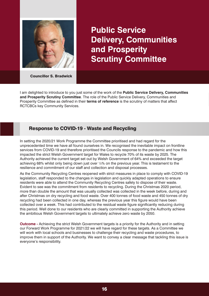

**Public Service Delivery, Communities and Prosperity Scrutiny Committee**

**Councillor S. Bradwick**

I am delighted to introduce to you just some of the work of the **Public Service Delivery, [Communities](https://www.rctcbc.gov.uk/EN/Council/CouncillorsCommitteesandMeetings/Meetings/HealthandWellbeingScrutinyCommittee/2021/01/12/Reports/AgendaItem4HopeRescueSLAReview.pdf) and Prosperity Scrutiny [Committee](https://www.rctcbc.gov.uk/EN/Council/CouncillorsCommitteesandMeetings/Meetings/HealthandWellbeingScrutinyCommittee/2021/01/12/Reports/AgendaItem4HopeRescueSLAReview.pdf)**. The role of the Public Service Delivery, Communities and Prosperity Committee as defined in their **terms of [reference](https://www.rctcbc.gov.uk/EN/Council/Scrutiny/RelatedDocuments/TermsofReference/PublicServiceDelivery.pdf)** is the scrutiny of matters that affect RCTCBCs key Community Services.

### **Response to COVID-19 - Waste and Recycling**

In setting the 2020/21 Work Programme the Committee prioritised and had regard for the unprecedented time we have all found ourselves in. We recognised the inevitable impact on frontline services from COVID-19 and therefore prioritised the Councils response to the pandemic and how this impacted the strict Welsh Government target for Wales to recycle 70% of its waste by 2025. The Authority achieved the current target set out by Welsh Government of 64% and exceeded the target achieving 68% whilst only being down just over ½% on the previous year. This is testament to the resilience and commitment of our staff and collection and disposal processes.

As the Community Recycling Centres reopened with strict measures in place to comply with COVID-19 legislation, staff responded to the changes in legislation and quickly adapted operations to ensure residents were able to attend the Community Recycling Centres safely to dispose of their waste. Evident to see was the commitment from residents to recycling. During the Christmas 2020 period, more than double the amount that was usually collected was collected in the week before, during and after Christmas on dry recycling and food waste. Over 400 tonnes of food waste and 450 tonnes of dry recycling had been collected in one day, whereas the previous year this figure would have been collected over a week. This had contributed to the residual waste figure significantly reducing during this period. Well done to our residents who are clearly committed in supporting the Authority achieve the ambitious Welsh Government targets to ultimately achieve zero waste by 2050.

**Outcome -** Achieving the strict Welsh Government targets is a priority for the Authority and in setting our Forward Work Programme for 2021/22 we will have regard for these targets. As a Committee we will work with local schools and businesses to challenge their recycling and waste procedures, to improve them in support of the Authority. We want to convey a clear message that tackling this issue is everyone's responsibility.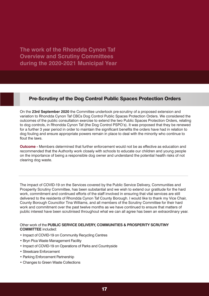### **Pre-Scrutiny of the Dog Control Public Spaces Protection Orders**

On the **23rd [September](https://www.rctcbc.gov.uk/EN/Council/CouncillorsCommitteesandMeetings/Meetings/PublicServiceDeliveryCommunitiesandProsperityScrutinyCommittee/2020/09/23/PublicServiceDeliveryCommunitiesandProsperityScrutinyCommittee23Sep2020.aspx) 2020** the Committee undertook pre-scrutiny of a proposed extension and variation to Rhondda Cynon Taf CBCs Dog Control Public Spaces Protection Orders. We considered the outcomes of the public consultation exercise to extend the two Public Spaces Protection Orders, relating to dog controls, in Rhondda Cynon Taf (the Dog Control PSPO's). It was proposed that they be renewed for a further 3 year period in order to maintain the significant benefits the orders have had in relation to dog fouling and ensure appropriate powers remain in place to deal with the minority who continue to flout the laws.

**Outcome -** Members determined that further enforcement would not be as effective as education and recommended that the Authority work closely with schools to educate our children and young people on the importance of being a responsible dog owner and understand the potential health risks of not clearing dog waste.

The impact of COVID-19 on the Services covered by the Public Service Delivery, Communities and Prosperity Scrutiny Committee, has been substantial and we wish to extend our gratitude for the hard work, commitment and continued efforts of the staff involved in ensuring that vital services are still delivered to the residents of Rhondda Cynon Taf County Borough. I would like to thank my Vice Chair, County Borough Councillor Tina Williams, and all members of the Scrutiny Committee for their hard work and commitment over the past twelve months as we have continued to ensure that matters of public interest have been scrutinised throughout what we can all agree has been an extraordinary year.

#### Other work of the **PUBLIC SERVICE DELIVERY, [COMMUNITIES](https://www.rctcbc.gov.uk/EN/Council/CouncillorsCommitteesandMeetings/Committees/PublicServiceDeliveryCommunitiesandProsperityScrutinyCommittee.aspx) & PROSPERITY SCRUTINY [COMMITTEE](https://www.rctcbc.gov.uk/EN/Council/CouncillorsCommitteesandMeetings/Committees/PublicServiceDeliveryCommunitiesandProsperityScrutinyCommittee.aspx)** included:

- Impact of COVID-19 on Community Recycling Centres
- Bryn Pica Waste Management Facility
- Impact of COVID-19 on Operations of Parks and Countryside
- Streetcare Enforcement
- Parking Enforcement Partnership
- Changes to Green Waste Collections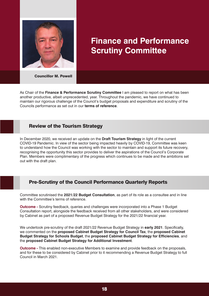

### **Finance and Performance Scrutiny Committee**

**Councillor M. Powell**

As Chair of the **Finance & [Performance](https://www.rctcbc.gov.uk/EN/Council/Scrutiny/ScrutinyCommittees/FinanceandPerformanceScrutinyCommittee.aspx) Scrutiny Committee** I am pleased to report on what has been another productive, albeit unprecedented, year. Throughout the pandemic, we have continued to maintain our rigorous challenge of the Council's budget proposals and expenditure and scrutiny of the Councils performance as set out in our **terms of [reference](https://www.rctcbc.gov.uk/EN/Council/Scrutiny/RelatedDocuments/TermsofReference/FP.pdf)**.

### **Review of the Tourism Strategy**

In December 2020, we received an update on the **Draft Tourism [Strategy](https://www.rctcbc.gov.uk/EN/Council/CouncillorsCommitteesandMeetings/Meetings/FinanceandPerformanceScrutinyCommittee/2020/12/21/Reports/FPReportRCTTourismStrategy2020.pdf)** in light of the current COVID-19 Pandemic. In view of the sector being impacted heavily by COVID-19, Committee was keen to understand how the Council was working with the sector to maintain and support its future recovery, recognising the opportunity this sector provides to deliver the aspirations of the Council's Corporate Plan. Members were complimentary of the progress which continues to be made and the ambitions set out with the draft plan.

### **Pre-Scrutiny of the Council Performance Quarterly Reports**

Committee scrutinised the **2021/22 Budget [Consultation](https://www.rctcbc.gov.uk/EN/Council/CouncillorsCommitteesandMeetings/Meetings/FinanceandPerformanceScrutinyCommittee/2020/11/16/FinanceandPerformanceScrutinyCommittee16Nov2020.aspx)**, as part of its role as a consultee and in line with the Committee's terms of reference.

**Outcome -** Scrutiny feedback, queries and challenges were incorporated into a Phase 1 Budget Consultation report, alongside the feedback received from all other stakeholders, and were considered by Cabinet as part of a proposed Revenue Budget Strategy for the 2021/22 financial year.

We undertook pre-scrutiny of the draft 2021/22 Revenue Budget Strategy in **[early](https://www.rctcbc.gov.uk/EN/Council/CouncillorsCommitteesandMeetings/Meetings/FinanceandPerformanceScrutinyCommittee/2021/02/04/FinanceandPerformanceScrutinyCommittee04Feb2021.aspx) 2021**. Specifically, we commented on the **proposed Cabinet Budget Strategy for Council Tax**, the **proposed Cabinet Budget Strategy for Schools Budget**, the **proposed Cabinet Budget Strategy for Efficiencies**, and the **proposed Cabinet Budget Strategy for Additional Investment**.

**Outcome** - This enabled non-executive Members to examine and provide feedback on the proposals, and for these to be considered by Cabinet prior to it recommending a Revenue Budget Strategy to full Council in March 2021.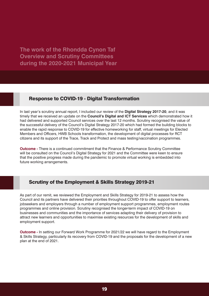#### **Response to COVID-19 - Digital Transformation**

In last year's scrutiny annual report, I included our review of the **Digital [Strategy](https://www.rctcbc.gov.uk/EN/Council/CouncillorsCommitteesandMeetings/Meetings/FinanceandPerformanceScrutinyCommittee/2019/12/16/Reports/Item5DigitalStrategy.pdf) 2017-20**, and it was timely that we received an update on the **[Council's](https://www.rctcbc.gov.uk/EN/Council/CouncillorsCommitteesandMeetings/Meetings/FinanceandPerformanceScrutinyCommittee/2021/03/15/FinanceandPerformanceScrutinyCommittee15Mar2021.aspx) Digital and ICT Services** which demonstrated how it had delivered and supported Council services over the last 12 months. Scrutiny recognised the value of the successful delivery of the Council's Digital Strategy 2017-20 which had formed the building blocks to enable the rapid response to COVID-19 for effective homeworking for staff, virtual meetings for Elected Members and Officers, HWB Schools transformation, the development of digital processes for RCT citizens and its support of the Trace, Track and Protect and mass testing/vaccination programmes.

**Outcome** - There is a continued commitment that the Finance & Performance Scrutiny Committee will be consulted on the Council's Digital Strategy for 2021 and the Committee were keen to ensure that the positive progress made during the pandemic to promote virtual working is embedded into future working arrangements.

### **Scrutiny of the Employment & Skills Strategy 2019-21**

As part of our remit, we reviewed the Employment and Skills Strategy for 2019-21 to assess how the Council and its partners have delivered their priorities throughout COVID-19 to offer support to learners, jobseekers and employers through a number of employment support programmes, employment routes programmes and online provision. Scrutiny recognised the longer-term impact of COVID-19 on businesses and communities and the importance of services adapting their delivery of provision to attract new learners and opportunities to maximise existing resources for the development of skills and employment support.

**Outcome -** In setting our Forward Work Programme for 2021/22 we will have regard to the Employment & Skills Strategy, particularly its recovery from COVID-19 and the proposals for the development of a new plan at the end of 2021.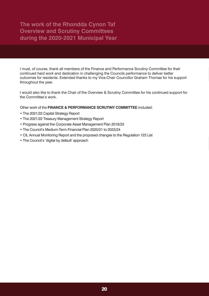I must, of course, thank all members of the Finance and Performance Scrutiny Committee for their continued hard work and dedication in challenging the Councils performance to deliver better outcomes for residents. Extended thanks to my Vice-Chair Councillor Graham Thomas for his support throughout the year.

I would also like to thank the Chair of the Overview & Scrutiny Committee for his continued support for the Committee's work.

Other work of the **FINANCE & [PERFORMANCE](https://www.rctcbc.gov.uk/EN/Council/CouncillorsCommitteesandMeetings/Committees/FinanceandPerformanceScrutinyCommittee.aspx) SCRUTINY COMMITTEE** included:

- The 2021/22 Capital Strategy Report
- The 2021/22 Treasury Management Strategy Report
- Progress against the Corporate Asset Management Plan 2018/23
- The Council's Medium-Term Financial Plan 2020/21 to 2023/24
- CIL Annual Monitoring Report and the proposed changes to the Regulation 123 List
- The Council's 'digital by default' approach